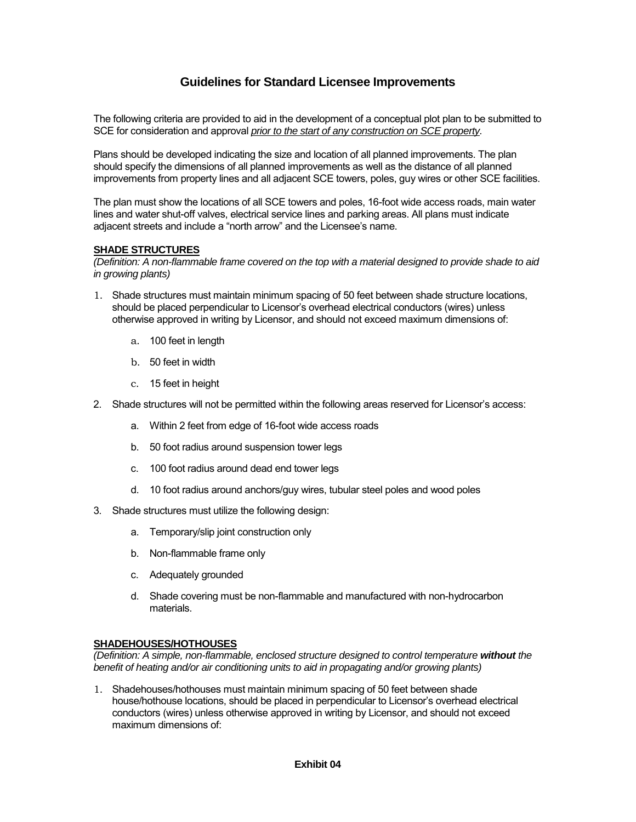# **Guidelines for Standard Licensee Improvements**

The following criteria are provided to aid in the development of a conceptual plot plan to be submitted to SCE for consideration and approval *prior to the start of any construction on SCE property.*

Plans should be developed indicating the size and location of all planned improvements. The plan should specify the dimensions of all planned improvements as well as the distance of all planned improvements from property lines and all adjacent SCE towers, poles, guy wires or other SCE facilities.

The plan must show the locations of all SCE towers and poles, 16-foot wide access roads, main water lines and water shut-off valves, electrical service lines and parking areas. All plans must indicate adjacent streets and include a "north arrow" and the Licensee's name.

#### **SHADE STRUCTURES**

*(Definition: A non-flammable frame covered on the top with a material designed to provide shade to aid in growing plants)* 

- 1. Shade structures must maintain minimum spacing of 50 feet between shade structure locations, should be placed perpendicular to Licensor's overhead electrical conductors (wires) unless otherwise approved in writing by Licensor, and should not exceed maximum dimensions of:
	- a. 100 feet in length
	- b. 50 feet in width
	- c. 15 feet in height
- 2. Shade structures will not be permitted within the following areas reserved for Licensor's access:
	- a. Within 2 feet from edge of 16-foot wide access roads
	- b. 50 foot radius around suspension tower legs
	- c. 100 foot radius around dead end tower legs
	- d. 10 foot radius around anchors/guy wires, tubular steel poles and wood poles
- 3. Shade structures must utilize the following design:
	- a. Temporary/slip joint construction only
	- b. Non-flammable frame only
	- c. Adequately grounded
	- d. Shade covering must be non-flammable and manufactured with non-hydrocarbon materials.

#### **SHADEHOUSES/HOTHOUSES**

*(Definition: A simple, non-flammable, enclosed structure designed to control temperature without the benefit of heating and/or air conditioning units to aid in propagating and/or growing plants)* 

1. Shadehouses/hothouses must maintain minimum spacing of 50 feet between shade house/hothouse locations, should be placed in perpendicular to Licensor's overhead electrical conductors (wires) unless otherwise approved in writing by Licensor, and should not exceed maximum dimensions of: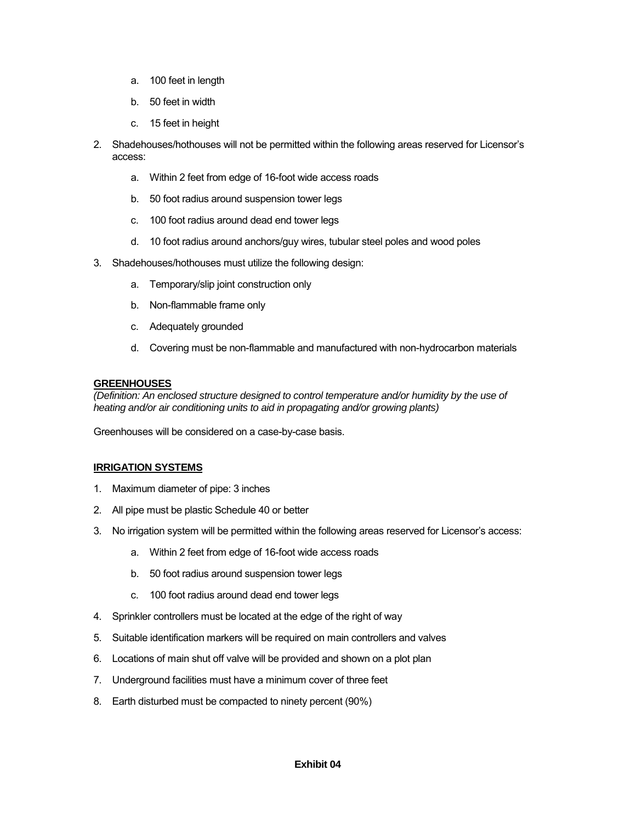- a. 100 feet in length
- b. 50 feet in width
- c. 15 feet in height
- 2. Shadehouses/hothouses will not be permitted within the following areas reserved for Licensor's access:
	- a. Within 2 feet from edge of 16-foot wide access roads
	- b. 50 foot radius around suspension tower legs
	- c. 100 foot radius around dead end tower legs
	- d. 10 foot radius around anchors/guy wires, tubular steel poles and wood poles
- 3. Shadehouses/hothouses must utilize the following design:
	- a. Temporary/slip joint construction only
	- b. Non-flammable frame only
	- c. Adequately grounded
	- d. Covering must be non-flammable and manufactured with non-hydrocarbon materials

#### **GREENHOUSES**

*(Definition: An enclosed structure designed to control temperature and/or humidity by the use of heating and/or air conditioning units to aid in propagating and/or growing plants)* 

Greenhouses will be considered on a case-by-case basis.

# **IRRIGATION SYSTEMS**

- 1. Maximum diameter of pipe: 3 inches
- 2. All pipe must be plastic Schedule 40 or better
- 3. No irrigation system will be permitted within the following areas reserved for Licensor's access:
	- a. Within 2 feet from edge of 16-foot wide access roads
	- b. 50 foot radius around suspension tower legs
	- c. 100 foot radius around dead end tower legs
- 4. Sprinkler controllers must be located at the edge of the right of way
- 5. Suitable identification markers will be required on main controllers and valves
- 6. Locations of main shut off valve will be provided and shown on a plot plan
- 7. Underground facilities must have a minimum cover of three feet
- 8. Earth disturbed must be compacted to ninety percent (90%)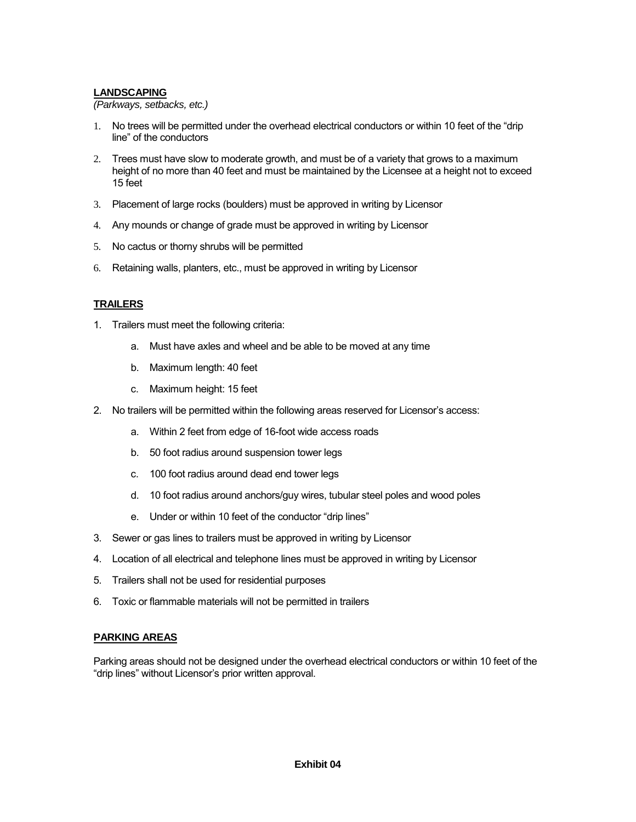#### **LANDSCAPING**

*(Parkways, setbacks, etc.)* 

- 1. No trees will be permitted under the overhead electrical conductors or within 10 feet of the "drip line" of the conductors
- 2. Trees must have slow to moderate growth, and must be of a variety that grows to a maximum height of no more than 40 feet and must be maintained by the Licensee at a height not to exceed 15 feet
- 3. Placement of large rocks (boulders) must be approved in writing by Licensor
- 4. Any mounds or change of grade must be approved in writing by Licensor
- 5. No cactus or thorny shrubs will be permitted
- 6. Retaining walls, planters, etc., must be approved in writing by Licensor

# **TRAILERS**

- 1. Trailers must meet the following criteria:
	- a. Must have axles and wheel and be able to be moved at any time
	- b. Maximum length: 40 feet
	- c. Maximum height: 15 feet
- 2. No trailers will be permitted within the following areas reserved for Licensor's access:
	- a. Within 2 feet from edge of 16-foot wide access roads
	- b. 50 foot radius around suspension tower legs
	- c. 100 foot radius around dead end tower legs
	- d. 10 foot radius around anchors/guy wires, tubular steel poles and wood poles
	- e. Under or within 10 feet of the conductor "drip lines"
- 3. Sewer or gas lines to trailers must be approved in writing by Licensor
- 4. Location of all electrical and telephone lines must be approved in writing by Licensor
- 5. Trailers shall not be used for residential purposes
- 6. Toxic or flammable materials will not be permitted in trailers

# **PARKING AREAS**

Parking areas should not be designed under the overhead electrical conductors or within 10 feet of the "drip lines" without Licensor's prior written approval.